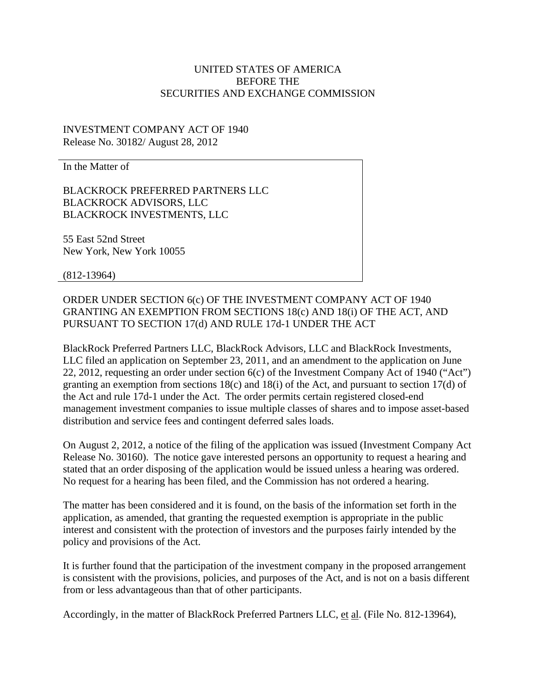## UNITED STATES OF AMERICA BEFORE THE SECURITIES AND EXCHANGE COMMISSION

## INVESTMENT COMPANY ACT OF 1940 Release No. 30182/ August 28, 2012

In the Matter of

BLACKROCK PREFERRED PARTNERS LLC BLACKROCK ADVISORS, LLC BLACKROCK INVESTMENTS, LLC

55 East 52nd Street New York, New York 10055

(812-13964)

ORDER UNDER SECTION 6(c) OF THE INVESTMENT COMPANY ACT OF 1940 GRANTING AN EXEMPTION FROM SECTIONS 18(c) AND 18(i) OF THE ACT, AND PURSUANT TO SECTION 17(d) AND RULE 17d-1 UNDER THE ACT

BlackRock Preferred Partners LLC, BlackRock Advisors, LLC and BlackRock Investments, LLC filed an application on September 23, 2011, and an amendment to the application on June 22, 2012, requesting an order under section 6(c) of the Investment Company Act of 1940 ("Act") granting an exemption from sections 18(c) and 18(i) of the Act, and pursuant to section 17(d) of the Act and rule 17d-1 under the Act. The order permits certain registered closed-end management investment companies to issue multiple classes of shares and to impose asset-based distribution and service fees and contingent deferred sales loads.

On August 2, 2012, a notice of the filing of the application was issued (Investment Company Act Release No. 30160). The notice gave interested persons an opportunity to request a hearing and stated that an order disposing of the application would be issued unless a hearing was ordered. No request for a hearing has been filed, and the Commission has not ordered a hearing.

The matter has been considered and it is found, on the basis of the information set forth in the application, as amended, that granting the requested exemption is appropriate in the public interest and consistent with the protection of investors and the purposes fairly intended by the policy and provisions of the Act.

It is further found that the participation of the investment company in the proposed arrangement is consistent with the provisions, policies, and purposes of the Act, and is not on a basis different from or less advantageous than that of other participants.

Accordingly, in the matter of BlackRock Preferred Partners LLC, et al. (File No. 812-13964),